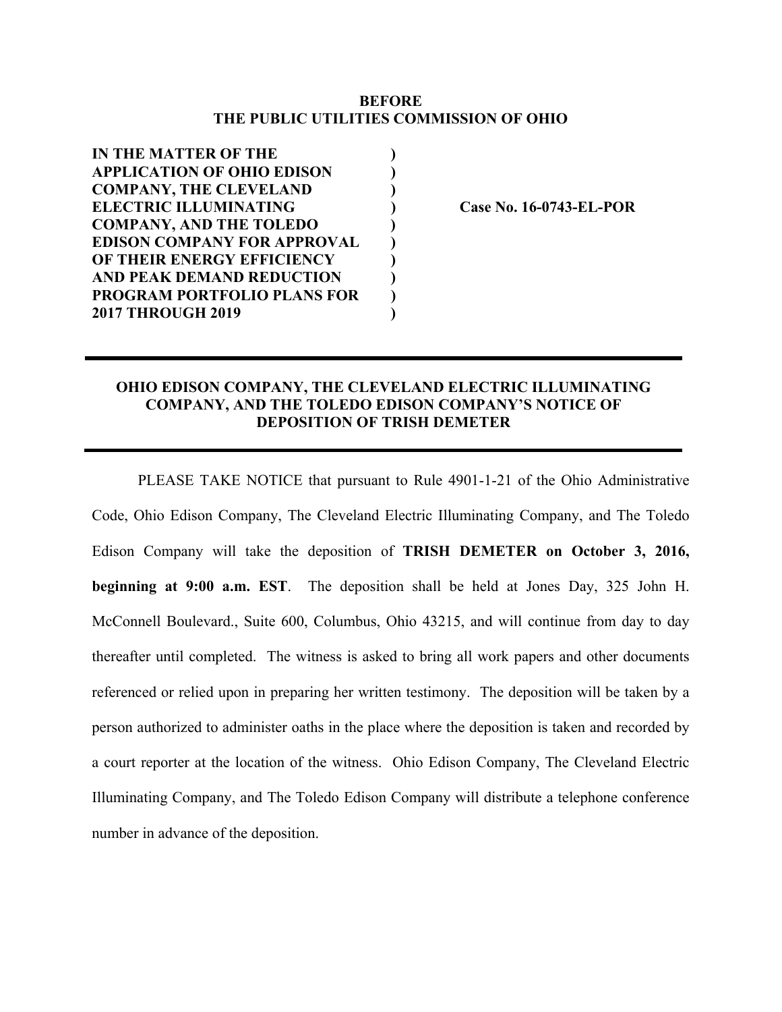## **BEFORE THE PUBLIC UTILITIES COMMISSION OF OHIO**

| <b>IN THE MATTER OF THE</b>        |  |
|------------------------------------|--|
| <b>APPLICATION OF OHIO EDISON</b>  |  |
| <b>COMPANY, THE CLEVELAND</b>      |  |
| <b>ELECTRIC ILLUMINATING</b>       |  |
| <b>COMPANY, AND THE TOLEDO</b>     |  |
| <b>EDISON COMPANY FOR APPROVAL</b> |  |
| OF THEIR ENERGY EFFICIENCY         |  |
| <b>AND PEAK DEMAND REDUCTION</b>   |  |
| <b>PROGRAM PORTFOLIO PLANS FOR</b> |  |
| <b>2017 THROUGH 2019</b>           |  |
|                                    |  |

**EXECTRIC ISLEX ELECTRIC CASE No. 16-0743-EL-POR** 

## **OHIO EDISON COMPANY, THE CLEVELAND ELECTRIC ILLUMINATING COMPANY, AND THE TOLEDO EDISON COMPANY'S NOTICE OF DEPOSITION OF TRISH DEMETER**

PLEASE TAKE NOTICE that pursuant to Rule 4901-1-21 of the Ohio Administrative Code, Ohio Edison Company, The Cleveland Electric Illuminating Company, and The Toledo Edison Company will take the deposition of **TRISH DEMETER on October 3, 2016, beginning at 9:00 a.m. EST**. The deposition shall be held at Jones Day, 325 John H. McConnell Boulevard., Suite 600, Columbus, Ohio 43215, and will continue from day to day thereafter until completed. The witness is asked to bring all work papers and other documents referenced or relied upon in preparing her written testimony. The deposition will be taken by a person authorized to administer oaths in the place where the deposition is taken and recorded by a court reporter at the location of the witness. Ohio Edison Company, The Cleveland Electric Illuminating Company, and The Toledo Edison Company will distribute a telephone conference number in advance of the deposition.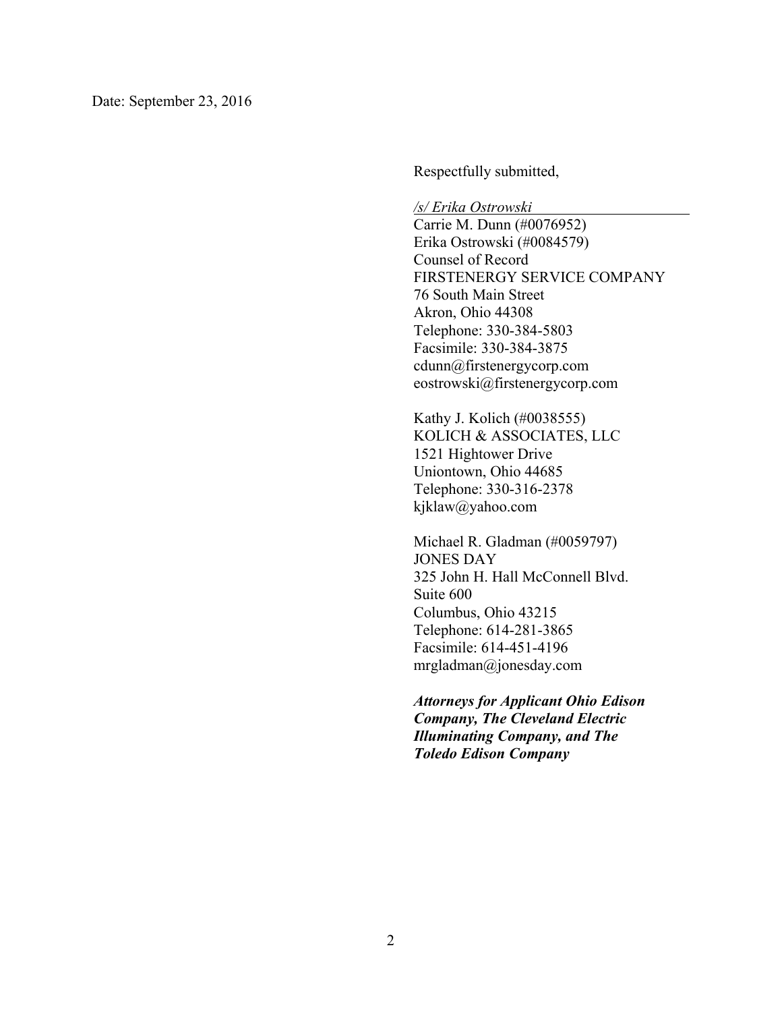Respectfully submitted,

*/s/ Erika Ostrowski* 

Carrie M. Dunn (#0076952) Erika Ostrowski (#0084579) Counsel of Record FIRSTENERGY SERVICE COMPANY 76 South Main Street Akron, Ohio 44308 Telephone: 330-384-5803 Facsimile: 330-384-3875 cdunn@firstenergycorp.com eostrowski@firstenergycorp.com

Kathy J. Kolich (#0038555) KOLICH & ASSOCIATES, LLC 1521 Hightower Drive Uniontown, Ohio 44685 Telephone: 330-316-2378 kjklaw@yahoo.com

Michael R. Gladman (#0059797) JONES DAY 325 John H. Hall McConnell Blvd. Suite 600 Columbus, Ohio 43215 Telephone: 614-281-3865 Facsimile: 614-451-4196 mrgladman@jonesday.com

*Attorneys for Applicant Ohio Edison Company, The Cleveland Electric Illuminating Company, and The Toledo Edison Company*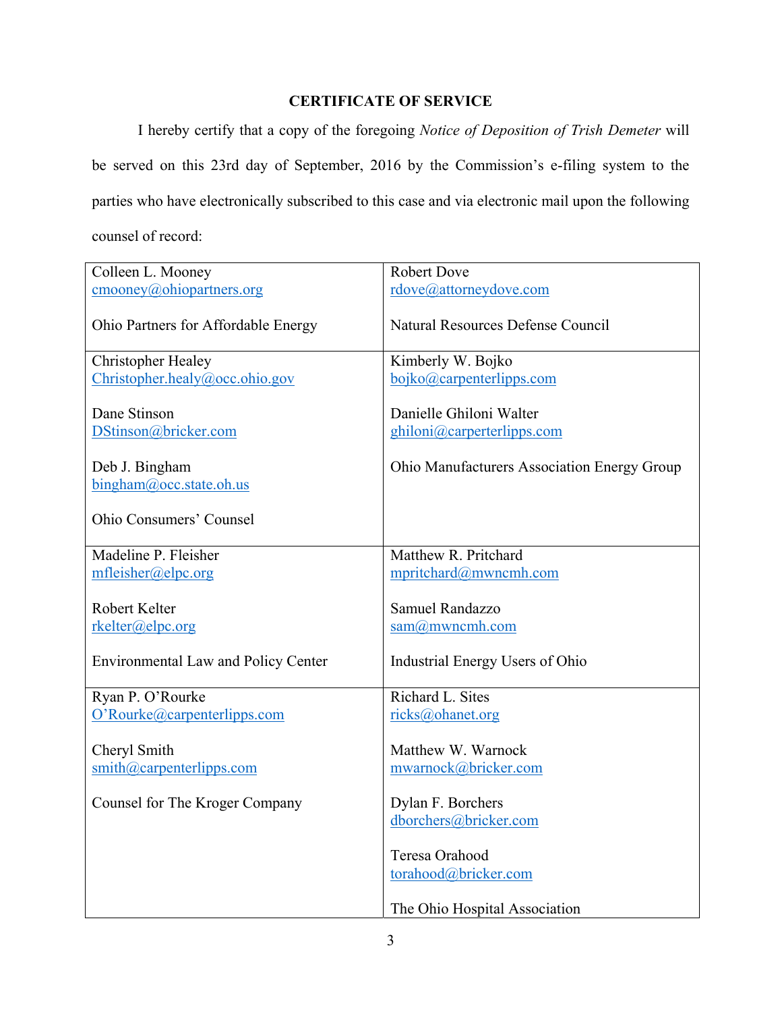## **CERTIFICATE OF SERVICE**

 I hereby certify that a copy of the foregoing *Notice of Deposition of Trish Demeter* will be served on this 23rd day of September, 2016 by the Commission's e-filing system to the parties who have electronically subscribed to this case and via electronic mail upon the following counsel of record:

| Colleen L. Mooney                                    | <b>Robert Dove</b>                                                      |
|------------------------------------------------------|-------------------------------------------------------------------------|
| $\underline{\text{cmooney}(a)}$ ohiopartners.org     | rdove@attorneydove.com                                                  |
| Ohio Partners for Affordable Energy                  | <b>Natural Resources Defense Council</b>                                |
| <b>Christopher Healey</b>                            | Kimberly W. Bojko                                                       |
| Christopher.healy@occ.ohio.gov                       | bojko@carpenterlipps.com                                                |
| Dane Stinson<br>DStinson@bricker.com                 | Danielle Ghiloni Walter<br>ghiloni@carperterlipps.com                   |
| Deb J. Bingham<br>$bingham@$ , occ. state. oh. us    | Ohio Manufacturers Association Energy Group                             |
| <b>Ohio Consumers' Counsel</b>                       |                                                                         |
| Madeline P. Fleisher                                 | Matthew R. Pritchard                                                    |
| mfleisher@elpc.org                                   | mpritchard@mwncmh.com                                                   |
| Robert Kelter<br>rkelter@elpc.org                    | Samuel Randazzo<br>$sam@m$ wncmh.com                                    |
| <b>Environmental Law and Policy Center</b>           | Industrial Energy Users of Ohio                                         |
| Ryan P. O'Rourke                                     | Richard L. Sites                                                        |
| O'Rourke@carpenterlipps.com                          | ricks@ohanet.org                                                        |
| Cheryl Smith<br>$\sinith(\omega)$ carpenterlipps.com | Matthew W. Warnock<br>mwarnock@bricker.com                              |
| Counsel for The Kroger Company                       | Dylan F. Borchers                                                       |
|                                                      | dborchers@bricker.com                                                   |
|                                                      | Teresa Orahood<br>torahood@bricker.com<br>The Ohio Hospital Association |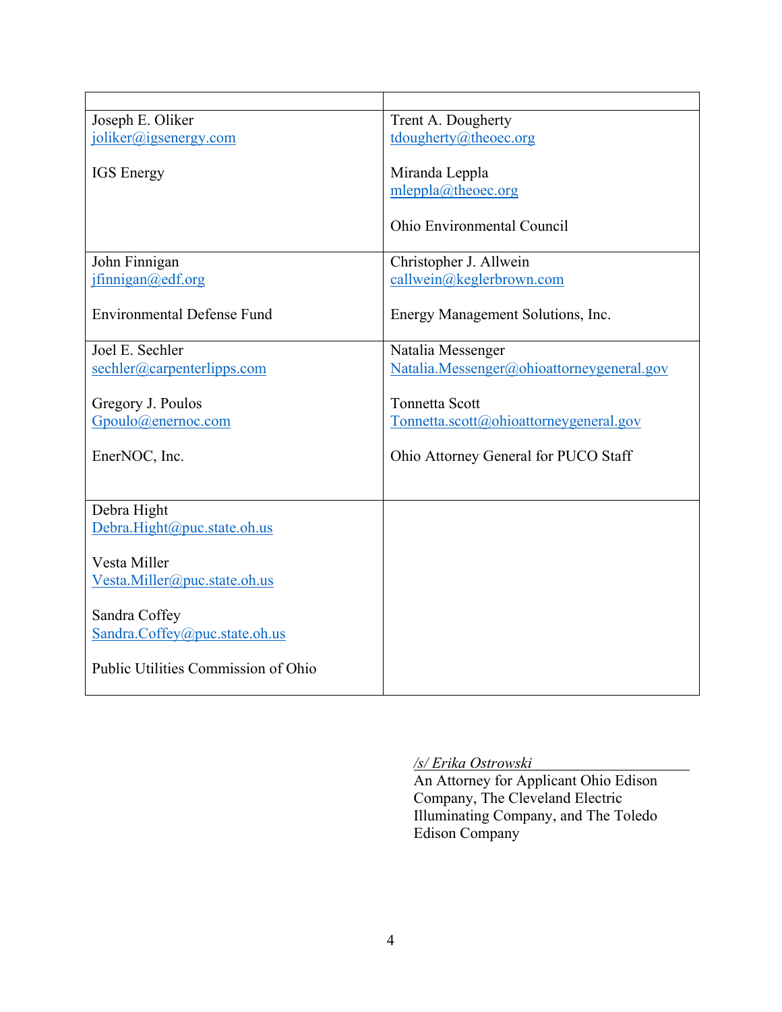| Joseph E. Oliker                    | Trent A. Dougherty                        |
|-------------------------------------|-------------------------------------------|
| joliker@igsenergy.com               | tdougherty@theoec.org                     |
|                                     |                                           |
| <b>IGS</b> Energy                   | Miranda Leppla                            |
|                                     | mleppla@theoec.org                        |
|                                     |                                           |
|                                     | <b>Ohio Environmental Council</b>         |
|                                     |                                           |
| John Finnigan                       | Christopher J. Allwein                    |
| jfinnigan@edf.org                   | callwein@keglerbrown.com                  |
|                                     |                                           |
| <b>Environmental Defense Fund</b>   | Energy Management Solutions, Inc.         |
|                                     |                                           |
| Joel E. Sechler                     | Natalia Messenger                         |
| sechler@carpenterlipps.com          | Natalia.Messenger@ohioattorneygeneral.gov |
|                                     |                                           |
| Gregory J. Poulos                   | <b>Tonnetta Scott</b>                     |
| Gpoulo@enernoc.com                  | Tometta.scott@ohioattorneygeneral.gov     |
|                                     |                                           |
| EnerNOC, Inc.                       | Ohio Attorney General for PUCO Staff      |
|                                     |                                           |
|                                     |                                           |
| Debra Hight                         |                                           |
| Debra.Hight@puc.state.oh.us         |                                           |
|                                     |                                           |
| Vesta Miller                        |                                           |
| Vesta.Miller@puc.state.oh.us        |                                           |
|                                     |                                           |
| Sandra Coffey                       |                                           |
| Sandra.Coffey@puc.state.oh.us       |                                           |
|                                     |                                           |
| Public Utilities Commission of Ohio |                                           |
|                                     |                                           |

## */s/ Erika Ostrowski*

An Attorney for Applicant Ohio Edison Company, The Cleveland Electric Illuminating Company, and The Toledo Edison Company